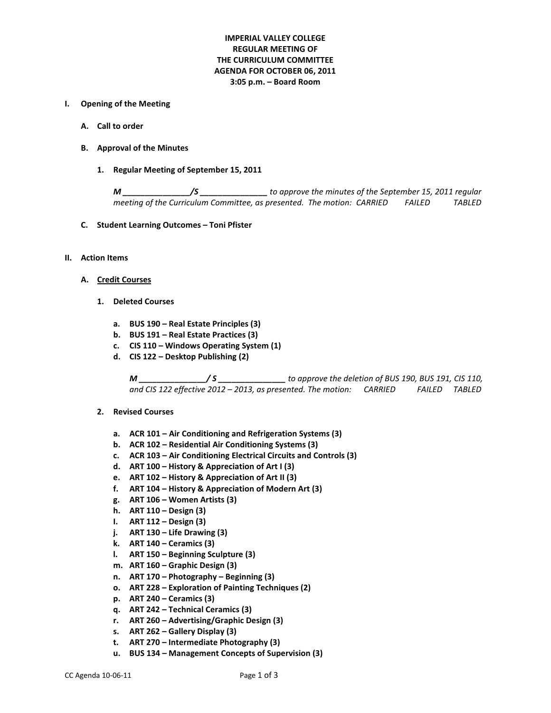# **IMPERIAL VALLEY COLLEGE REGULAR MEETING OF THE CURRICULUM COMMITTEE AGENDA FOR OCTOBER 06, 2011 3:05 p.m. – Board Room**

#### **I. Opening of the Meeting**

- **A. Call to order**
- **B. Approval of the Minutes**
	- **1. Regular Meeting of September 15, 2011**

*M \_\_\_\_\_\_\_\_\_\_\_\_\_\_\_/S \_\_\_\_\_\_\_\_\_\_\_\_\_\_\_ to approve the minutes of the September 15, 2011 regular meeting of the Curriculum Committee, as presented. The motion: CARRIED FAILED TABLED*

- **C. Student Learning Outcomes – Toni Pfister**
- **II. Action Items**
	- **A. Credit Courses**
		- **1. Deleted Courses**
			- **a. BUS 190 – Real Estate Principles (3)**
			- **b. BUS 191 – Real Estate Practices (3)**
			- **c. CIS 110 – Windows Operating System (1)**
			- **d. CIS 122 – Desktop Publishing (2)**

*M \_\_\_\_\_\_\_\_\_\_\_\_\_\_\_/ S \_\_\_\_\_\_\_\_\_\_\_\_\_\_\_ to approve the deletion of BUS 190, BUS 191, CIS 110, and CIS 122 effective 2012 – 2013, as presented. The motion: CARRIED FAILED TABLED*

- **2. Revised Courses**
	- **a. ACR 101 – Air Conditioning and Refrigeration Systems (3)**
	- **b. ACR 102 – Residential Air Conditioning Systems (3)**
	- **c. ACR 103 – Air Conditioning Electrical Circuits and Controls (3)**
	- **d. ART 100 – History & Appreciation of Art I (3)**
	- **e. ART 102 – History & Appreciation of Art II (3)**
	- **f. ART 104 – History & Appreciation of Modern Art (3)**
	- **g. ART 106 – Women Artists (3)**
	- **h. ART 110 – Design (3)**
	- **I. ART 112 – Design (3)**
	- **j. ART 130 – Life Drawing (3)**
	- **k. ART 140 – Ceramics (3)**
	- **l. ART 150 – Beginning Sculpture (3)**
	- **m. ART 160 – Graphic Design (3)**
	- **n. ART 170 – Photography – Beginning (3)**
	- **o. ART 228 – Exploration of Painting Techniques (2)**
	- **p. ART 240 – Ceramics (3)**
	- **q. ART 242 – Technical Ceramics (3)**
	- **r. ART 260 – Advertising/Graphic Design (3)**
	- **s. ART 262 – Gallery Display (3)**
	- **t. ART 270 – Intermediate Photography (3)**
	- **u. BUS 134 – Management Concepts of Supervision (3)**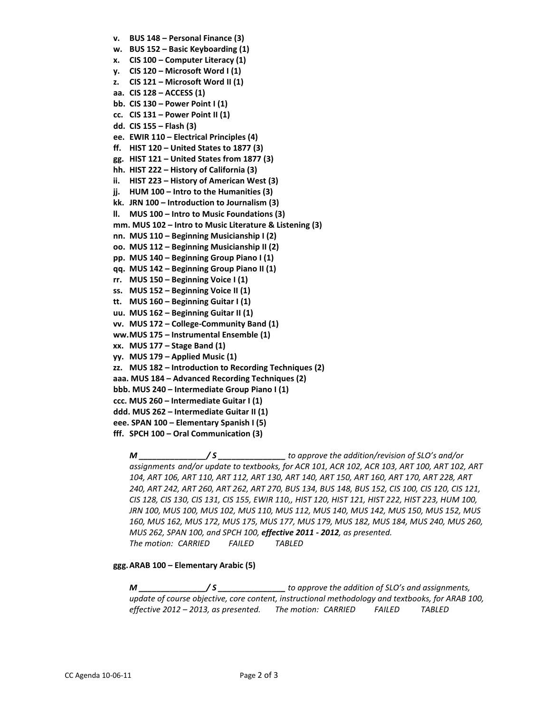**v. BUS 148 – Personal Finance (3) w. BUS 152 – Basic Keyboarding (1) x. CIS 100 – Computer Literacy (1) y. CIS 120 – Microsoft Word I (1) z. CIS 121 – Microsoft Word II (1) aa. CIS 128 – ACCESS (1) bb. CIS 130 – Power Point I (1) cc. CIS 131 – Power Point II (1) dd. CIS 155 – Flash (3) ee. EWIR 110 – Electrical Principles (4) ff. HIST 120 – United States to 1877 (3) gg. HIST 121 – United States from 1877 (3) hh. HIST 222 – History of California (3) ii. HIST 223 – History of American West (3) jj. HUM 100 – Intro to the Humanities (3) kk. JRN 100 – Introduction to Journalism (3) ll. MUS 100 – Intro to Music Foundations (3) mm. MUS 102 – Intro to Music Literature & Listening (3) nn. MUS 110 – Beginning Musicianship I (2) oo. MUS 112 – Beginning Musicianship II (2) pp. MUS 140 – Beginning Group Piano I (1) qq. MUS 142 – Beginning Group Piano II (1) rr. MUS 150 – Beginning Voice I (1) ss. MUS 152 – Beginning Voice II (1) tt. MUS 160 – Beginning Guitar I (1) uu. MUS 162 – Beginning Guitar II (1) vv. MUS 172 – College-Community Band (1) ww.MUS 175 – Instrumental Ensemble (1) xx. MUS 177 – Stage Band (1) yy. MUS 179 – Applied Music (1) zz. MUS 182 – Introduction to Recording Techniques (2) aaa. MUS 184 – Advanced Recording Techniques (2) bbb. MUS 240 – Intermediate Group Piano I (1) ccc. MUS 260 – Intermediate Guitar I (1) ddd. MUS 262 – Intermediate Guitar II (1) eee. SPAN 100 – Elementary Spanish I (5) fff. SPCH 100 – Oral Communication (3)**

*M \_\_\_\_\_\_\_\_\_\_\_\_\_\_\_/ S \_\_\_\_\_\_\_\_\_\_\_\_\_\_\_ to approve the addition/revision of SLO's and/or assignments and/or update to textbooks, for ACR 101, ACR 102, ACR 103, ART 100, ART 102, ART 104, ART 106, ART 110, ART 112, ART 130, ART 140, ART 150, ART 160, ART 170, ART 228, ART 240, ART 242, ART 260, ART 262, ART 270, BUS 134, BUS 148, BUS 152, CIS 100, CIS 120, CIS 121, CIS 128, CIS 130, CIS 131, CIS 155, EWIR 110,, HIST 120, HIST 121, HIST 222, HIST 223, HUM 100, JRN 100, MUS 100, MUS 102, MUS 110, MUS 112, MUS 140, MUS 142, MUS 150, MUS 152, MUS 160, MUS 162, MUS 172, MUS 175, MUS 177, MUS 179, MUS 182, MUS 184, MUS 240, MUS 260, MUS 262, SPAN 100, and SPCH 100, effective 2011 - 2012, as presented. The motion: CARRIED FAILED TABLED*

## **ggg.ARAB 100 – Elementary Arabic (5)**

*M \_\_\_\_\_\_\_\_\_\_\_\_\_\_\_/ S \_\_\_\_\_\_\_\_\_\_\_\_\_\_\_ to approve the addition of SLO's and assignments, update of course objective, core content, instructional methodology and textbooks, for ARAB 100, effective 2012 – 2013, as presented. The motion: CARRIED FAILED TABLED*